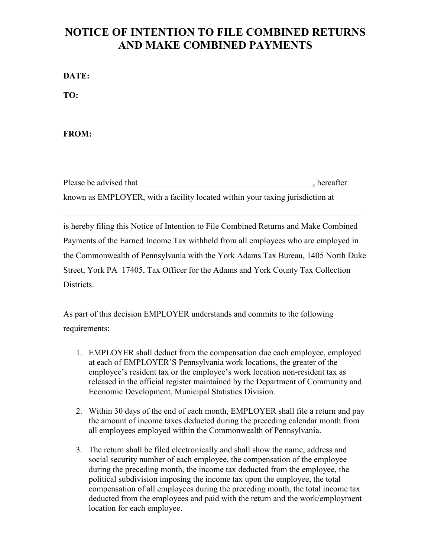## **NOTICE OF INTENTION TO FILE COMBINED RETURNS AND MAKE COMBINED PAYMENTS**

**DATE:**

**TO:**

**FROM:**

| Please be advised that                                                        | , hereafter |
|-------------------------------------------------------------------------------|-------------|
| known as EMPLOYER, with a facility located within your taxing jurisdiction at |             |

\_\_\_\_\_\_\_\_\_\_\_\_\_\_\_\_\_\_\_\_\_\_\_\_\_\_\_\_\_\_\_\_\_\_\_\_\_\_\_\_\_\_\_\_\_\_\_\_\_\_\_\_\_\_\_\_\_\_\_\_\_\_\_\_\_\_\_\_\_\_\_

is hereby filing this Notice of Intention to File Combined Returns and Make Combined Payments of the Earned Income Tax withheld from all employees who are employed in the Commonwealth of Pennsylvania with the York Adams Tax Bureau, 1405 North Duke Street, York PA 17405, Tax Officer for the Adams and York County Tax Collection Districts.

As part of this decision EMPLOYER understands and commits to the following requirements:

- 1. EMPLOYER shall deduct from the compensation due each employee, employed at each of EMPLOYER'S Pennsylvania work locations, the greater of the employee's resident tax or the employee's work location non-resident tax as released in the official register maintained by the Department of Community and Economic Development, Municipal Statistics Division.
- 2. Within 30 days of the end of each month, EMPLOYER shall file a return and pay the amount of income taxes deducted during the preceding calendar month from all employees employed within the Commonwealth of Pennsylvania.
- 3. The return shall be filed electronically and shall show the name, address and social security number of each employee, the compensation of the employee during the preceding month, the income tax deducted from the employee, the political subdivision imposing the income tax upon the employee, the total compensation of all employees during the preceding month, the total income tax deducted from the employees and paid with the return and the work/employment location for each employee.